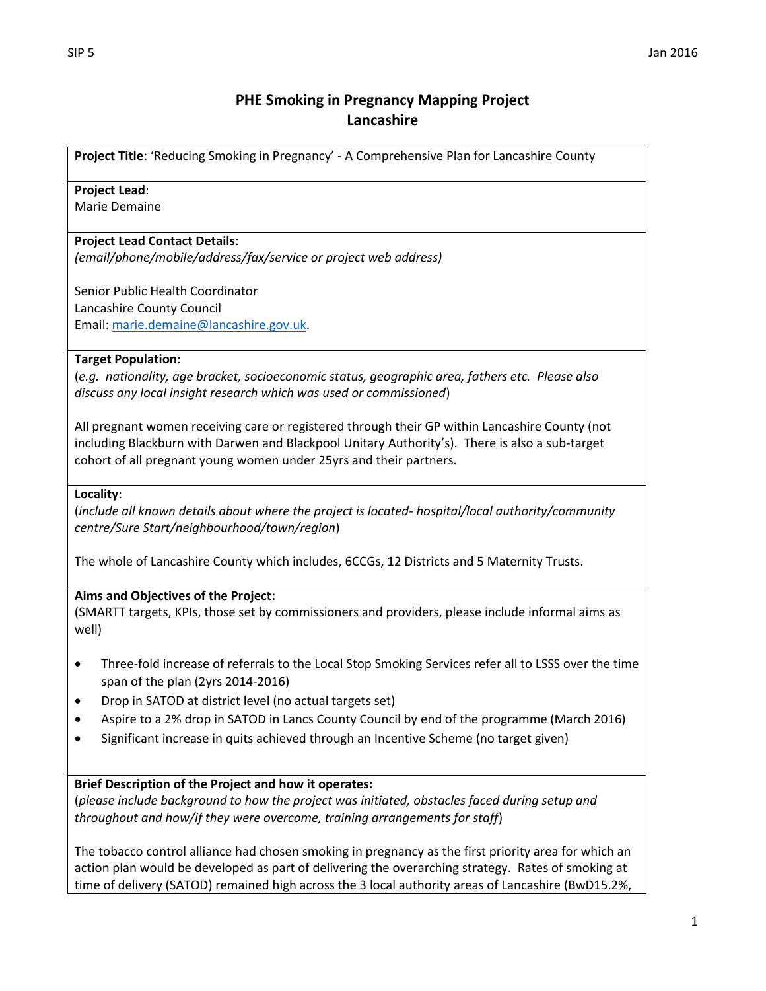# **PHE Smoking in Pregnancy Mapping Project Lancashire**

**Project Title**: 'Reducing Smoking in Pregnancy' - A Comprehensive Plan for Lancashire County

### **Project Lead**:

Marie Demaine

### **Project Lead Contact Details**:

*(email/phone/mobile/address/fax/service or project web address)*

Senior Public Health Coordinator Lancashire County Council Email[: marie.demaine@lancashire.gov.uk.](mailto:marie.demaine@lancashire.gov.uk)

### **Target Population**:

(*e.g. nationality, age bracket, socioeconomic status, geographic area, fathers etc. Please also discuss any local insight research which was used or commissioned*)

All pregnant women receiving care or registered through their GP within Lancashire County (not including Blackburn with Darwen and Blackpool Unitary Authority's). There is also a sub-target cohort of all pregnant young women under 25yrs and their partners.

#### **Locality**:

(*include all known details about where the project is located- hospital/local authority/community centre/Sure Start/neighbourhood/town/region*)

The whole of Lancashire County which includes, 6CCGs, 12 Districts and 5 Maternity Trusts.

## **Aims and Objectives of the Project:**

(SMARTT targets, KPIs, those set by commissioners and providers, please include informal aims as well)

- Three-fold increase of referrals to the Local Stop Smoking Services refer all to LSSS over the time span of the plan (2yrs 2014-2016)
- Drop in SATOD at district level (no actual targets set)
- Aspire to a 2% drop in SATOD in Lancs County Council by end of the programme (March 2016)
- Significant increase in quits achieved through an Incentive Scheme (no target given)

### **Brief Description of the Project and how it operates:**

(*please include background to how the project was initiated, obstacles faced during setup and throughout and how/if they were overcome, training arrangements for staff*)

The tobacco control alliance had chosen smoking in pregnancy as the first priority area for which an action plan would be developed as part of delivering the overarching strategy. Rates of smoking at time of delivery (SATOD) remained high across the 3 local authority areas of Lancashire (BwD15.2%,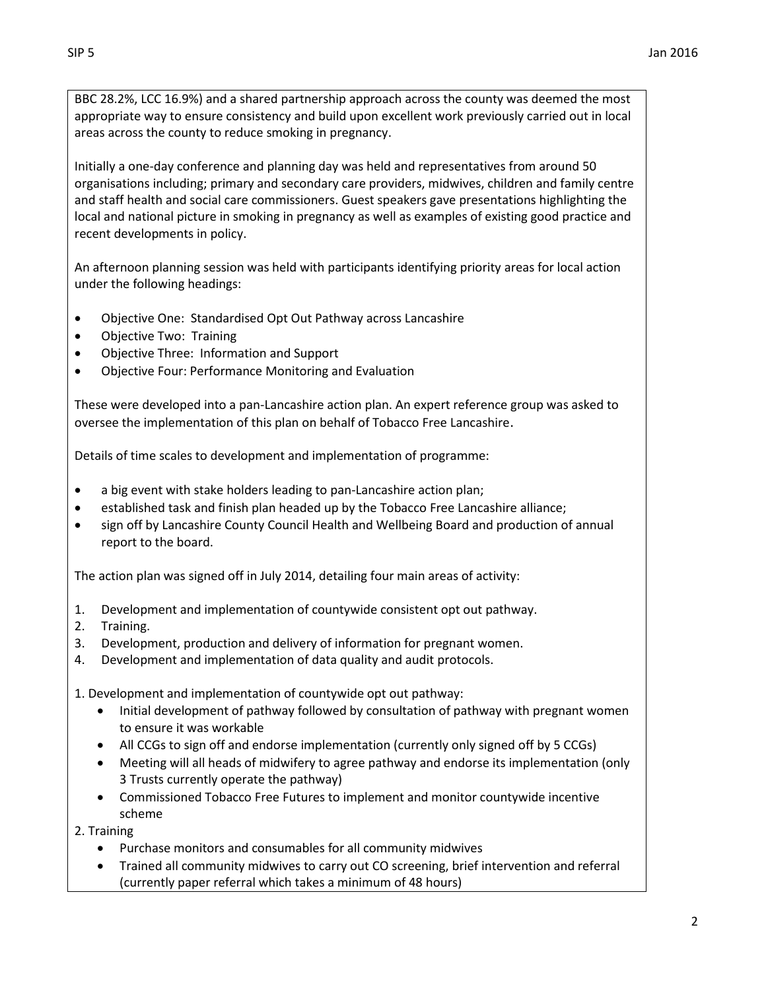BBC 28.2%, LCC 16.9%) and a shared partnership approach across the county was deemed the most appropriate way to ensure consistency and build upon excellent work previously carried out in local areas across the county to reduce smoking in pregnancy.

Initially a one-day conference and planning day was held and representatives from around 50 organisations including; primary and secondary care providers, midwives, children and family centre and staff health and social care commissioners. Guest speakers gave presentations highlighting the local and national picture in smoking in pregnancy as well as examples of existing good practice and recent developments in policy.

An afternoon planning session was held with participants identifying priority areas for local action under the following headings:

- Objective One: Standardised Opt Out Pathway across Lancashire
- Objective Two: Training
- Objective Three: Information and Support
- Objective Four: Performance Monitoring and Evaluation

These were developed into a pan-Lancashire action plan. An expert reference group was asked to oversee the implementation of this plan on behalf of Tobacco Free Lancashire.

Details of time scales to development and implementation of programme:

- a big event with stake holders leading to pan-Lancashire action plan;
- established task and finish plan headed up by the Tobacco Free Lancashire alliance;
- sign off by Lancashire County Council Health and Wellbeing Board and production of annual report to the board.

The action plan was signed off in July 2014, detailing four main areas of activity:

- 1. Development and implementation of countywide consistent opt out pathway.
- 2. Training.
- 3. Development, production and delivery of information for pregnant women.
- 4. Development and implementation of data quality and audit protocols.

1. Development and implementation of countywide opt out pathway:

- Initial development of pathway followed by consultation of pathway with pregnant women to ensure it was workable
- All CCGs to sign off and endorse implementation (currently only signed off by 5 CCGs)
- Meeting will all heads of midwifery to agree pathway and endorse its implementation (only 3 Trusts currently operate the pathway)
- Commissioned Tobacco Free Futures to implement and monitor countywide incentive scheme

2. Training

- Purchase monitors and consumables for all community midwives
- Trained all community midwives to carry out CO screening, brief intervention and referral (currently paper referral which takes a minimum of 48 hours)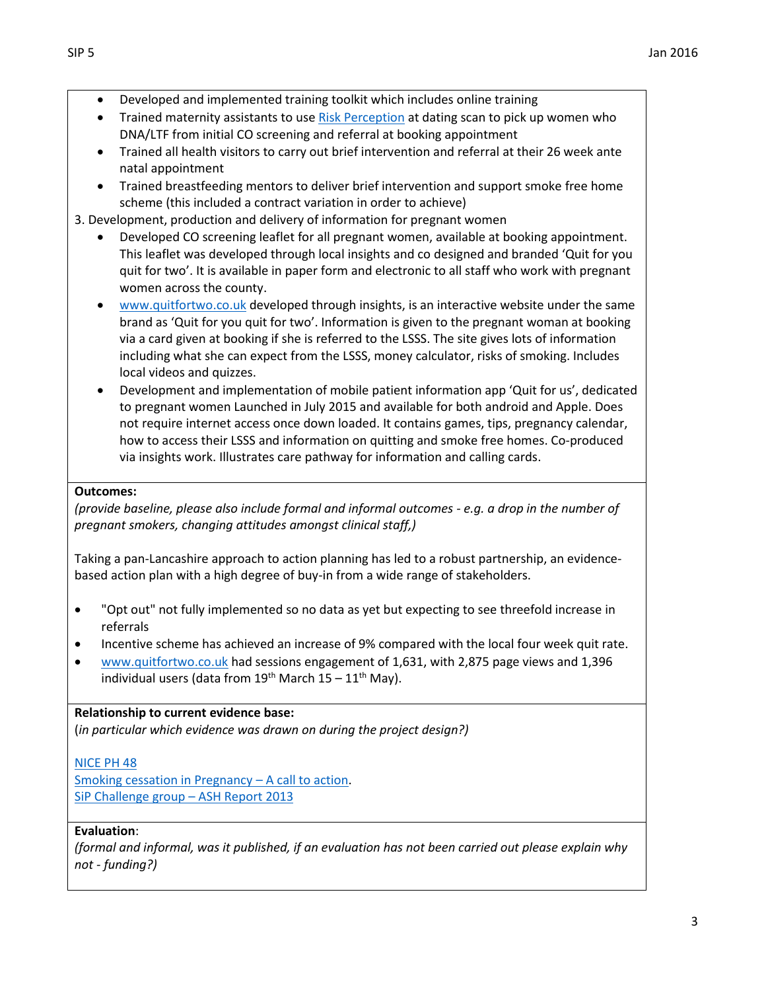- Developed and implemented training toolkit which includes online training
- Trained maternity assistants to us[e Risk Perception](http://www.magonlinelibrary.com/doi/abs/10.12968/bjom.2012.20.4.236?journalCode=bjom) at dating scan to pick up women who DNA/LTF from initial CO screening and referral at booking appointment
- Trained all health visitors to carry out brief intervention and referral at their 26 week ante natal appointment
- Trained breastfeeding mentors to deliver brief intervention and support smoke free home scheme (this included a contract variation in order to achieve)
- 3. Development, production and delivery of information for pregnant women
	- Developed CO screening leaflet for all pregnant women, available at booking appointment. This leaflet was developed through local insights and co designed and branded 'Quit for you quit for two'. It is available in paper form and electronic to all staff who work with pregnant women across the county.
	- [www.quitfortwo.co.uk](http://www.quitfortwo.co.uk/) developed through insights, is an interactive website under the same brand as 'Quit for you quit for two'. Information is given to the pregnant woman at booking via a card given at booking if she is referred to the LSSS. The site gives lots of information including what she can expect from the LSSS, money calculator, risks of smoking. Includes local videos and quizzes.
	- Development and implementation of mobile patient information app 'Quit for us', dedicated to pregnant women Launched in July 2015 and available for both android and Apple. Does not require internet access once down loaded. It contains games, tips, pregnancy calendar, how to access their LSSS and information on quitting and smoke free homes. Co-produced via insights work. Illustrates care pathway for information and calling cards.

## **Outcomes:**

*(provide baseline, please also include formal and informal outcomes - e.g. a drop in the number of pregnant smokers, changing attitudes amongst clinical staff,)*

Taking a pan-Lancashire approach to action planning has led to a robust partnership, an evidencebased action plan with a high degree of buy-in from a wide range of stakeholders.

- "Opt out" not fully implemented so no data as yet but expecting to see threefold increase in referrals
- Incentive scheme has achieved an increase of 9% compared with the local four week quit rate.
- [www.quitfortwo.co.uk](http://www.quitfortwo.co.uk/) had sessions engagement of 1,631, with 2,875 page views and 1,396 individual users (data from  $19^{th}$  March  $15 - 11^{th}$  May).

### **Relationship to current evidence base:**

(*in particular which evidence was drawn on during the project design?)*

## [NICE PH 48](http://www.nice.org.uk/guidance/ph48)

[Smoking cessation in Pregnancy](http://www.ash.org.uk/files/documents/ASH_893.pdf) – A call to action. [SiP Challenge group](http://ash.org.uk/files/documents/ASH_112.pdf) – ASH Report 2013

### **Evaluation**:

*(formal and informal, was it published, if an evaluation has not been carried out please explain why not - funding?)*